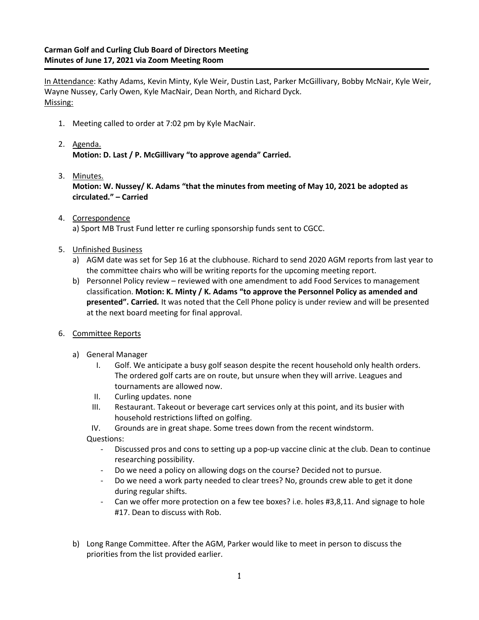In Attendance: Kathy Adams, Kevin Minty, Kyle Weir, Dustin Last, Parker McGillivary, Bobby McNair, Kyle Weir, Wayne Nussey, Carly Owen, Kyle MacNair, Dean North, and Richard Dyck. Missing:

- 1. Meeting called to order at 7:02 pm by Kyle MacNair.
- 2. Agenda. **Motion: D. Last / P. McGillivary "to approve agenda" Carried.**
- 3. Minutes. **Motion: W. Nussey/ K. Adams "that the minutes from meeting of May 10, 2021 be adopted as circulated." – Carried**
- 4. Correspondence a) Sport MB Trust Fund letter re curling sponsorship funds sent to CGCC.
- 5. Unfinished Business
	- a) AGM date was set for Sep 16 at the clubhouse. Richard to send 2020 AGM reports from last year to the committee chairs who will be writing reports for the upcoming meeting report.
	- b) Personnel Policy review reviewed with one amendment to add Food Services to management classification. **Motion: K. Minty / K. Adams "to approve the Personnel Policy as amended and presented". Carried.** It was noted that the Cell Phone policy is under review and will be presented at the next board meeting for final approval.
- 6. Committee Reports
	- a) General Manager
		- I. Golf. We anticipate a busy golf season despite the recent household only health orders. The ordered golf carts are on route, but unsure when they will arrive. Leagues and tournaments are allowed now.
		- II. Curling updates. none
		- III. Restaurant. Takeout or beverage cart services only at this point, and its busier with household restrictions lifted on golfing.
		- IV. Grounds are in great shape. Some trees down from the recent windstorm.

Questions:

- Discussed pros and cons to setting up a pop-up vaccine clinic at the club. Dean to continue researching possibility.
- Do we need a policy on allowing dogs on the course? Decided not to pursue.
- Do we need a work party needed to clear trees? No, grounds crew able to get it done during regular shifts.
- Can we offer more protection on a few tee boxes? i.e. holes #3,8,11. And signage to hole #17. Dean to discuss with Rob.
- b) Long Range Committee. After the AGM, Parker would like to meet in person to discuss the priorities from the list provided earlier.